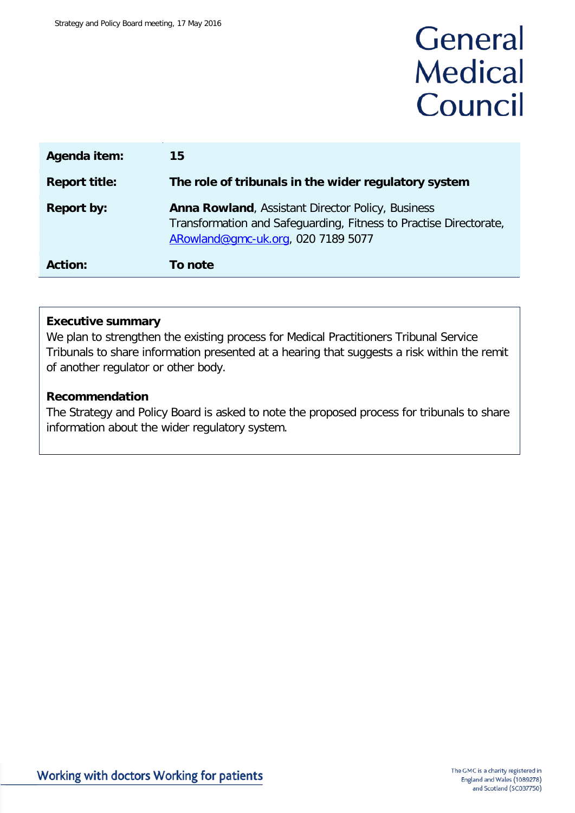# General **Medical** Council

| Agenda item:         | 15                                                                                                                                                                  |
|----------------------|---------------------------------------------------------------------------------------------------------------------------------------------------------------------|
| <b>Report title:</b> | The role of tribunals in the wider regulatory system                                                                                                                |
| <b>Report by:</b>    | <b>Anna Rowland, Assistant Director Policy, Business</b><br>Transformation and Safeguarding, Fitness to Practise Directorate,<br>ARowland@gmc-uk.org, 020 7189 5077 |
| <b>Action:</b>       | To note                                                                                                                                                             |

## **Executive summary**

We plan to strengthen the existing process for Medical Practitioners Tribunal Service Tribunals to share information presented at a hearing that suggests a risk within the remit of another regulator or other body.

## **Recommendation**

The Strategy and Policy Board is asked to note the proposed process for tribunals to share information about the wider regulatory system.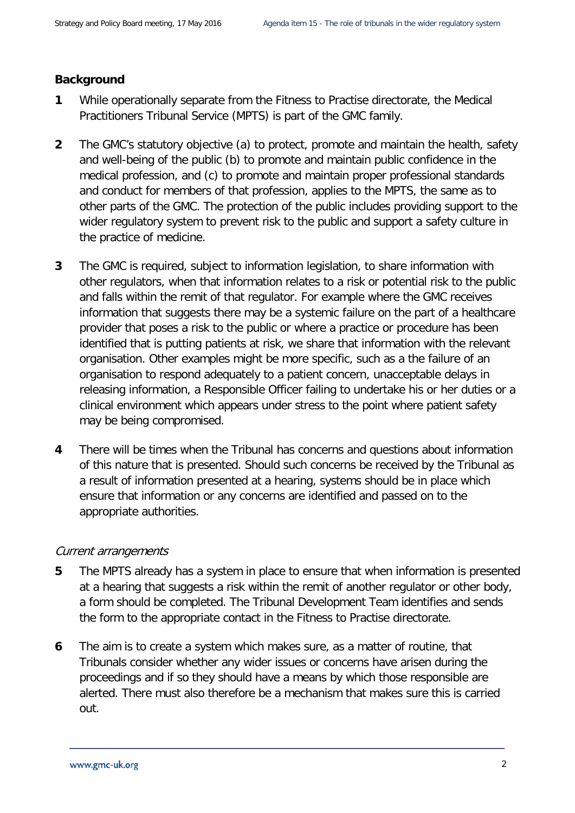# **Background**

- **1** While operationally separate from the Fitness to Practise directorate, the Medical Practitioners Tribunal Service (MPTS) is part of the GMC family.
- **2** The GMC's statutory objective (a) to protect, promote and maintain the health, safety and well-being of the public (b) to promote and maintain public confidence in the medical profession, and (c) to promote and maintain proper professional standards and conduct for members of that profession, applies to the MPTS, the same as to other parts of the GMC. The protection of the public includes providing support to the wider regulatory system to prevent risk to the public and support a safety culture in the practice of medicine.
- **3** The GMC is required, subject to information legislation, to share information with other regulators, when that information relates to a risk or potential risk to the public and falls within the remit of that regulator. For example where the GMC receives information that suggests there may be a systemic failure on the part of a healthcare provider that poses a risk to the public or where a practice or procedure has been identified that is putting patients at risk, we share that information with the relevant organisation. Other examples might be more specific, such as a the failure of an organisation to respond adequately to a patient concern, unacceptable delays in releasing information, a Responsible Officer failing to undertake his or her duties or a clinical environment which appears under stress to the point where patient safety may be being compromised.
- **4** There will be times when the Tribunal has concerns and questions about information of this nature that is presented. Should such concerns be received by the Tribunal as a result of information presented at a hearing, systems should be in place which ensure that information or any concerns are identified and passed on to the appropriate authorities.

## Current arrangements

- **5** The MPTS already has a system in place to ensure that when information is presented at a hearing that suggests a risk within the remit of another regulator or other body, a form should be completed. The Tribunal Development Team identifies and sends the form to the appropriate contact in the Fitness to Practise directorate.
- **6** The aim is to create a system which makes sure, as a matter of routine, that Tribunals consider whether any wider issues or concerns have arisen during the proceedings and if so they should have a means by which those responsible are alerted. There must also therefore be a mechanism that makes sure this is carried out.